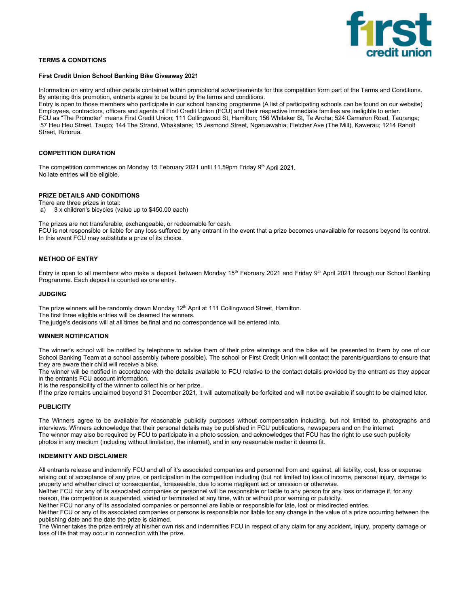

## **TERMS & CONDITIONS**

#### **First Credit Union School Banking Bike Giveaway 2021**

Information on entry and other details contained within promotional advertisements for this competition form part of the Terms and Conditions. By entering this promotion, entrants agree to be bound by the terms and conditions.

Entry is open to those members who participate in our school banking programme (A list of participating schools can be found on our website) Employees, contractors, officers and agents of First Credit Union (FCU) and their respective immediate families are ineligible to enter. FCU as "The Promoter" means First Credit Union; 111 Collingwood St, Hamilton; 156 Whitaker St, Te Aroha; 524 Cameron Road, Tauranga; 57 Heu Heu Street, Taupo; 144 The Strand, Whakatane; 15 Jesmond Street, Ngaruawahia; Fletcher Ave (The Mill), Kawerau; 1214 Ranolf Street, Rotorua.

# **COMPETITION DURATION**

The competition commences on Monday 15 February 2021 until 11.59pm Friday 9th April 2021. No late entries will be eligible.

## **PRIZE DETAILS AND CONDITIONS**

There are three prizes in total: a) 3 x children's bicycles (value up to \$450.00 each)

The prizes are not transferable, exchangeable, or redeemable for cash.

FCU is not responsible or liable for any loss suffered by any entrant in the event that a prize becomes unavailable for reasons beyond its control. In this event FCU may substitute a prize of its choice.

## **METHOD OF ENTRY**

Entry is open to all members who make a deposit between Monday 15<sup>th</sup> February 2021 and Friday 9<sup>th</sup> April 2021 through our School Banking Programme. Each deposit is counted as one entry.

#### **JUDGING**

The prize winners will be randomly drawn Monday 12<sup>th</sup> April at 111 Collingwood Street, Hamilton.

The first three eligible entries will be deemed the winners.

The judge's decisions will at all times be final and no correspondence will be entered into.

## **WINNER NOTIFICATION**

The winner's school will be notified by telephone to advise them of their prize winnings and the bike will be presented to them by one of our School Banking Team at a school assembly (where possible). The school or First Credit Union will contact the parents/guardians to ensure that they are aware their child will receive a bike.

The winner will be notified in accordance with the details available to FCU relative to the contact details provided by the entrant as they appear in the entrants FCU account information.

It is the responsibility of the winner to collect his or her prize.

If the prize remains unclaimed beyond 31 December 2021, it will automatically be forfeited and will not be available if sought to be claimed later.

# **PUBLICITY**

The Winners agree to be available for reasonable publicity purposes without compensation including, but not limited to, photographs and interviews. Winners acknowledge that their personal details may be published in FCU publications, newspapers and on the internet. The winner may also be required by FCU to participate in a photo session, and acknowledges that FCU has the right to use such publicity photos in any medium (including without limitation, the internet), and in any reasonable matter it deems fit.

#### **INDEMNITY AND DISCLAIMER**

All entrants release and indemnify FCU and all of it's associated companies and personnel from and against, all liability, cost, loss or expense arising out of acceptance of any prize, or participation in the competition including (but not limited to) loss of income, personal injury, damage to property and whether direct or consequential, foreseeable, due to some negligent act or omission or otherwise.

Neither FCU nor any of its associated companies or personnel will be responsible or liable to any person for any loss or damage if, for any reason, the competition is suspended, varied or terminated at any time, with or without prior warning or publicity.

Neither FCU nor any of its associated companies or personnel are liable or responsible for late, lost or misdirected entries.

Neither FCU or any of its associated companies or persons is responsible nor liable for any change in the value of a prize occurring between the publishing date and the date the prize is claimed.

The Winner takes the prize entirely at his/her own risk and indemnifies FCU in respect of any claim for any accident, injury, property damage or loss of life that may occur in connection with the prize.